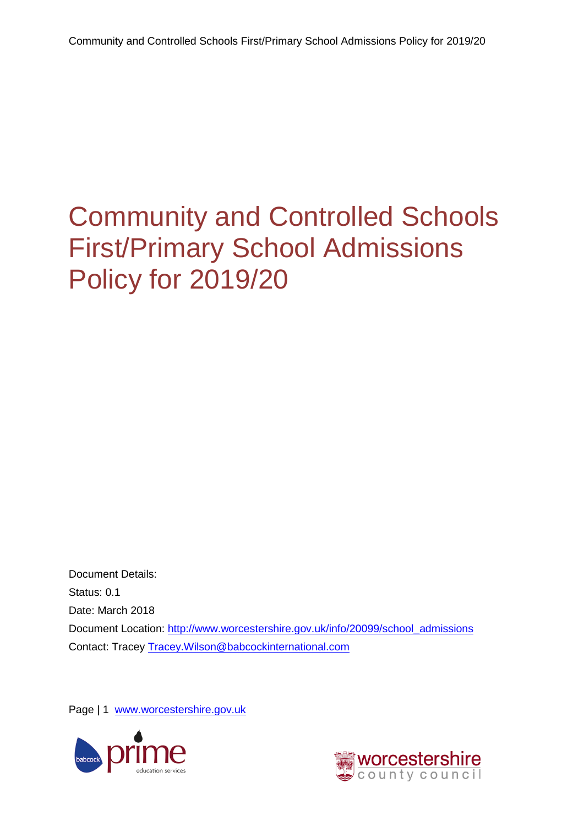<span id="page-0-0"></span>Document Details: Status: 0.1 Date: March 2018 Document Location: [http://www.worcestershire.gov.uk/info/20099/school\\_admissions](http://www.worcestershire.gov.uk/info/20099/school_admissions) Contact: Tracey [Tracey.Wilson@babcockinternational.com](mailto:Tracey.Wilson@babcockinternational.com)

Page | 1 [www.worcestershire.gov.uk](http://www.worcestershire.gov.uk/)



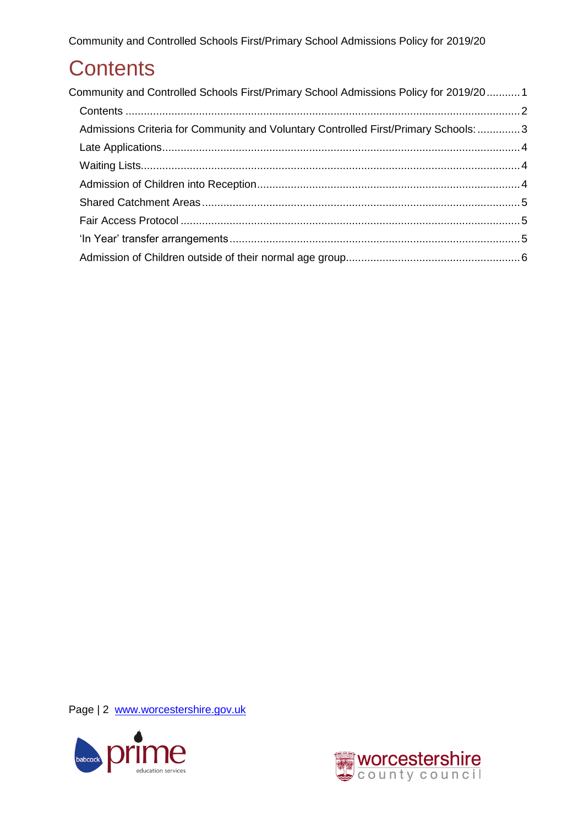## <span id="page-1-0"></span>**Contents**

| Community and Controlled Schools First/Primary School Admissions Policy for 2019/201 |  |
|--------------------------------------------------------------------------------------|--|
|                                                                                      |  |
| Admissions Criteria for Community and Voluntary Controlled First/Primary Schools: 3  |  |
|                                                                                      |  |
|                                                                                      |  |
|                                                                                      |  |
|                                                                                      |  |
|                                                                                      |  |
|                                                                                      |  |
|                                                                                      |  |

Page | 2 [www.worcestershire.gov.uk](http://www.worcestershire.gov.uk/)



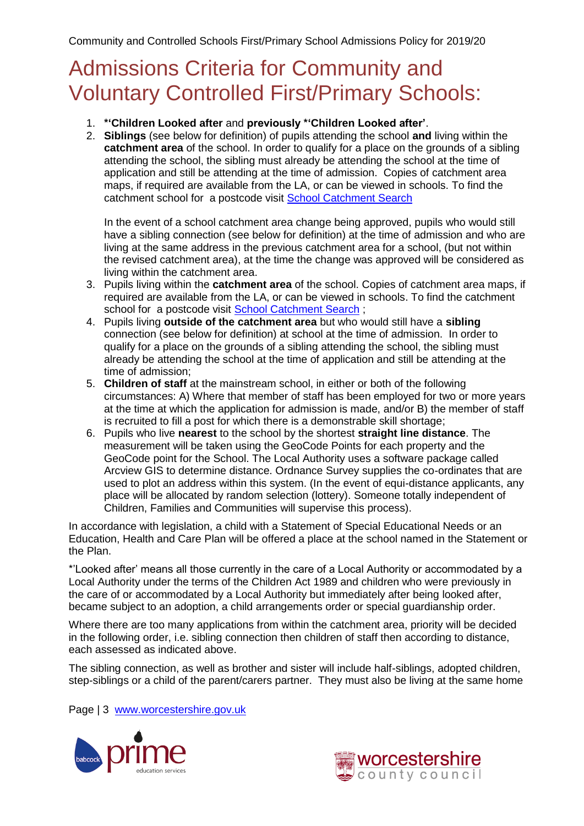### <span id="page-2-0"></span>Admissions Criteria for Community and Voluntary Controlled First/Primary Schools:

- 1. **\*'Children Looked after** and **previously \*'Children Looked after'**.
- 2. **Siblings** (see below for definition) of pupils attending the school **and** living within the **catchment area** of the school. In order to qualify for a place on the grounds of a sibling attending the school, the sibling must already be attending the school at the time of application and still be attending at the time of admission. Copies of catchment area maps, if required are available from the LA, or can be viewed in schools. To find the catchment school for a postcode visit [School Catchment Search](http://e-services.worcestershire.gov.uk/SchoolSearch/SearchSchools.aspx?Search=Postcode)

In the event of a school catchment area change being approved, pupils who would still have a sibling connection (see below for definition) at the time of admission and who are living at the same address in the previous catchment area for a school, (but not within the revised catchment area), at the time the change was approved will be considered as living within the catchment area.

- 3. Pupils living within the **catchment area** of the school. Copies of catchment area maps, if required are available from the LA, or can be viewed in schools. To find the catchment school for a postcode visit [School Catchment Search](http://e-services.worcestershire.gov.uk/SchoolSearch/SearchSchools.aspx?Search=Postcode) ;
- 4. Pupils living **outside of the catchment area** but who would still have a **sibling** connection (see below for definition) at school at the time of admission. In order to qualify for a place on the grounds of a sibling attending the school, the sibling must already be attending the school at the time of application and still be attending at the time of admission;
- 5. **Children of staff** at the mainstream school, in either or both of the following circumstances: A) Where that member of staff has been employed for two or more years at the time at which the application for admission is made, and/or B) the member of staff is recruited to fill a post for which there is a demonstrable skill shortage;
- 6. Pupils who live **nearest** to the school by the shortest **straight line distance**. The measurement will be taken using the GeoCode Points for each property and the GeoCode point for the School. The Local Authority uses a software package called Arcview GIS to determine distance. Ordnance Survey supplies the co-ordinates that are used to plot an address within this system. (In the event of equi-distance applicants, any place will be allocated by random selection (lottery). Someone totally independent of Children, Families and Communities will supervise this process).

In accordance with legislation, a child with a Statement of Special Educational Needs or an Education, Health and Care Plan will be offered a place at the school named in the Statement or the Plan.

\*'Looked after' means all those currently in the care of a Local Authority or accommodated by a Local Authority under the terms of the Children Act 1989 and children who were previously in the care of or accommodated by a Local Authority but immediately after being looked after, became subject to an adoption, a child arrangements order or special guardianship order.

Where there are too many applications from within the catchment area, priority will be decided in the following order, i.e. sibling connection then children of staff then according to distance, each assessed as indicated above.

The sibling connection, as well as brother and sister will include half-siblings, adopted children, step-siblings or a child of the parent/carers partner. They must also be living at the same home

Page | 3 [www.worcestershire.gov.uk](http://www.worcestershire.gov.uk/)



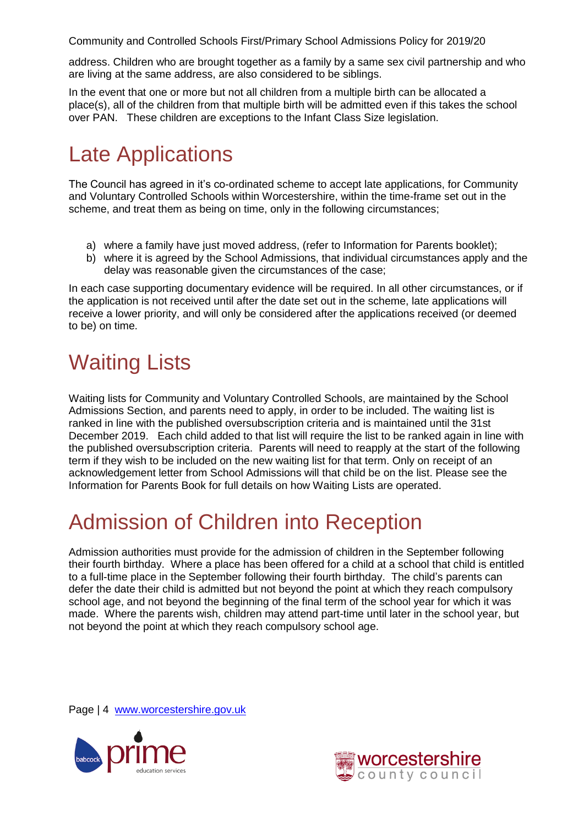address. Children who are brought together as a family by a same sex civil partnership and who are living at the same address, are also considered to be siblings.

In the event that one or more but not all children from a multiple birth can be allocated a place(s), all of the children from that multiple birth will be admitted even if this takes the school over PAN. These children are exceptions to the Infant Class Size legislation.

## <span id="page-3-0"></span>Late Applications

The Council has agreed in it's co-ordinated scheme to accept late applications, for Community and Voluntary Controlled Schools within Worcestershire, within the time-frame set out in the scheme, and treat them as being on time, only in the following circumstances;

- a) where a family have just moved address, (refer to Information for Parents booklet);
- b) where it is agreed by the School Admissions, that individual circumstances apply and the delay was reasonable given the circumstances of the case;

In each case supporting documentary evidence will be required. In all other circumstances, or if the application is not received until after the date set out in the scheme, late applications will receive a lower priority, and will only be considered after the applications received (or deemed to be) on time.

# <span id="page-3-1"></span>Waiting Lists

Waiting lists for Community and Voluntary Controlled Schools, are maintained by the School Admissions Section, and parents need to apply, in order to be included. The waiting list is ranked in line with the published oversubscription criteria and is maintained until the 31st December 2019. Each child added to that list will require the list to be ranked again in line with the published oversubscription criteria. Parents will need to reapply at the start of the following term if they wish to be included on the new waiting list for that term. Only on receipt of an acknowledgement letter from School Admissions will that child be on the list. Please see the Information for Parents Book for full details on how Waiting Lists are operated.

# <span id="page-3-2"></span>Admission of Children into Reception

Admission authorities must provide for the admission of children in the September following their fourth birthday. Where a place has been offered for a child at a school that child is entitled to a full-time place in the September following their fourth birthday. The child's parents can defer the date their child is admitted but not beyond the point at which they reach compulsory school age, and not beyond the beginning of the final term of the school year for which it was made. Where the parents wish, children may attend part-time until later in the school year, but not beyond the point at which they reach compulsory school age.

Page | 4 [www.worcestershire.gov.uk](http://www.worcestershire.gov.uk/)



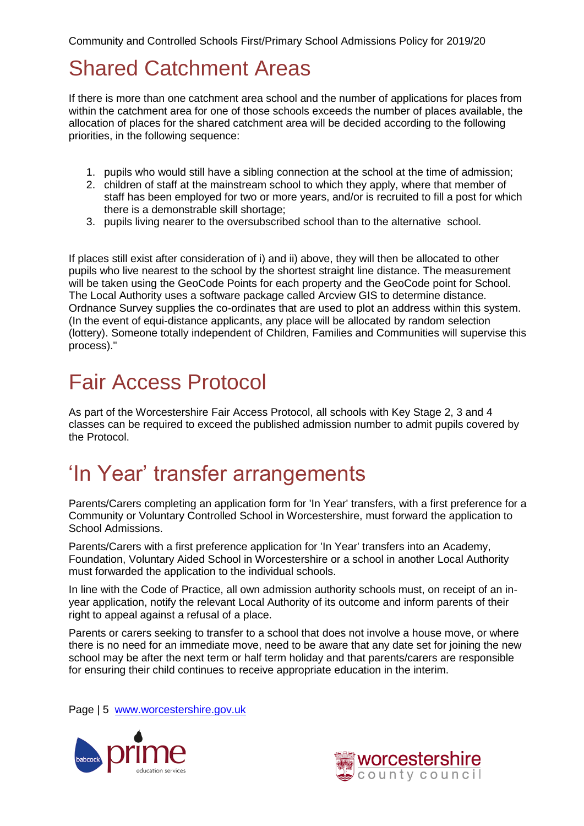## <span id="page-4-0"></span>Shared Catchment Areas

If there is more than one catchment area school and the number of applications for places from within the catchment area for one of those schools exceeds the number of places available, the allocation of places for the shared catchment area will be decided according to the following priorities, in the following sequence:

- 1. pupils who would still have a sibling connection at the school at the time of admission;
- 2. children of staff at the mainstream school to which they apply, where that member of staff has been employed for two or more years, and/or is recruited to fill a post for which there is a demonstrable skill shortage;
- 3. pupils living nearer to the oversubscribed school than to the alternative school.

If places still exist after consideration of i) and ii) above, they will then be allocated to other pupils who live nearest to the school by the shortest straight line distance. The measurement will be taken using the GeoCode Points for each property and the GeoCode point for School. The Local Authority uses a software package called Arcview GIS to determine distance. Ordnance Survey supplies the co-ordinates that are used to plot an address within this system. (In the event of equi-distance applicants, any place will be allocated by random selection (lottery). Someone totally independent of Children, Families and Communities will supervise this process)."

## <span id="page-4-1"></span>Fair Access Protocol

As part of the Worcestershire Fair Access Protocol, all schools with Key Stage 2, 3 and 4 classes can be required to exceed the published admission number to admit pupils covered by the Protocol.

#### <span id="page-4-2"></span>'In Year' transfer arrangements

Parents/Carers completing an application form for 'In Year' transfers, with a first preference for a Community or Voluntary Controlled School in Worcestershire, must forward the application to School Admissions.

Parents/Carers with a first preference application for 'In Year' transfers into an Academy, Foundation, Voluntary Aided School in Worcestershire or a school in another Local Authority must forwarded the application to the individual schools.

In line with the Code of Practice, all own admission authority schools must, on receipt of an inyear application, notify the relevant Local Authority of its outcome and inform parents of their right to appeal against a refusal of a place.

Parents or carers seeking to transfer to a school that does not involve a house move, or where there is no need for an immediate move, need to be aware that any date set for joining the new school may be after the next term or half term holiday and that parents/carers are responsible for ensuring their child continues to receive appropriate education in the interim.

Page | 5 [www.worcestershire.gov.uk](http://www.worcestershire.gov.uk/)